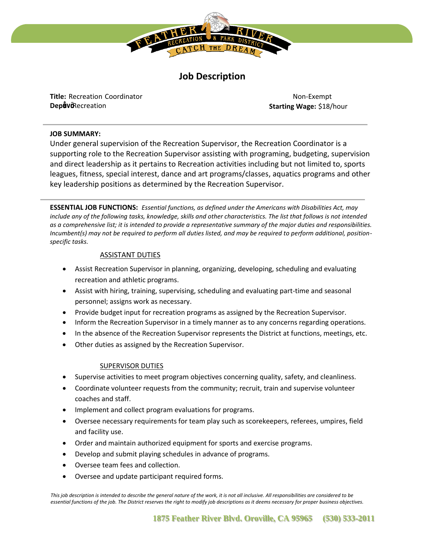

# **Job Description**

**Title:** Recreation Coordinator **Dep<sup>66</sup>**Recreation

**Status:** Non-Exempt **Starting Wage:** \$18/hour

## **JOB SUMMARY:**

Under general supervision of the Recreation Supervisor, the Recreation Coordinator is a supporting role to the Recreation Supervisor assisting with programing, budgeting, supervision and direct leadership as it pertains to Recreation activities including but not limited to, sports leagues, fitness, special interest, dance and art programs/classes, aquatics programs and other key leadership positions as determined by the Recreation Supervisor.

**ESSENTIAL JOB FUNCTIONS:** *Essential functions, as defined under the Americans with Disabilities Act, may include any of the following tasks, knowledge, skills and other characteristics. The list that follows is not intended as a comprehensive list; it is intended to provide a representative summary of the major duties and responsibilities. Incumbent(s) may not be required to perform all duties listed, and may be required to perform additional, positionspecific tasks.* 

## ASSISTANT DUTIES

- Assist Recreation Supervisor in planning, organizing, developing, scheduling and evaluating recreation and athletic programs.
- Assist with hiring, training, supervising, scheduling and evaluating part-time and seasonal personnel; assigns work as necessary.
- Provide budget input for recreation programs as assigned by the Recreation Supervisor.
- Inform the Recreation Supervisor in a timely manner as to any concerns regarding operations.
- In the absence of the Recreation Supervisor represents the District at functions, meetings, etc.
- Other duties as assigned by the Recreation Supervisor.

# SUPERVISOR DUTIES

- Supervise activities to meet program objectives concerning quality, safety, and cleanliness.
- Coordinate volunteer requests from the community; recruit, train and supervise volunteer coaches and staff.
- Implement and collect program evaluations for programs.
- Oversee necessary requirements for team play such as scorekeepers, referees, umpires, field and facility use.
- Order and maintain authorized equipment for sports and exercise programs.
- Develop and submit playing schedules in advance of programs.
- Oversee team fees and collection.
- Oversee and update participant required forms.

*This job description is intended to describe the general nature of the work, it is not all inclusive. All responsibilities are considered to be essential functions of the job. The District reserves the right to modify job descriptions as it deems necessary for proper business objectives.*